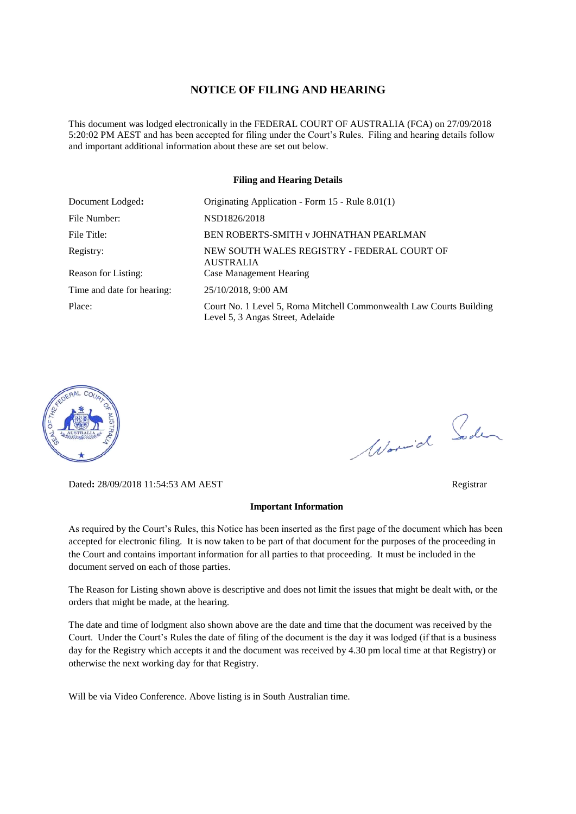#### **NOTICE OF FILING AND HEARING**

This document was lodged electronically in the FEDERAL COURT OF AUSTRALIA (FCA) on 27/09/2018 5:20:02 PM AEST and has been accepted for filing under the Court's Rules. Filing and hearing details follow and important additional information about these are set out below.

#### **Filing and Hearing Details**

| Document Lodged:           | Originating Application - Form 15 - Rule 8.01(1)                                                         |  |
|----------------------------|----------------------------------------------------------------------------------------------------------|--|
| File Number:               | NSD1826/2018                                                                                             |  |
| File Title:                | BEN ROBERTS-SMITH v JOHNATHAN PEARLMAN                                                                   |  |
| Registry:                  | NEW SOUTH WALES REGISTRY - FEDERAL COURT OF<br><b>AUSTRALIA</b>                                          |  |
| Reason for Listing:        | <b>Case Management Hearing</b>                                                                           |  |
| Time and date for hearing: | 25/10/2018, 9:00 AM                                                                                      |  |
| Place:                     | Court No. 1 Level 5, Roma Mitchell Commonwealth Law Courts Building<br>Level 5, 3 Angas Street, Adelaide |  |



Dated**:** 28/09/2018 11:54:53 AM AEST Registrar

#### **Important Information**

As required by the Court's Rules, this Notice has been inserted as the first page of the document which has been accepted for electronic filing. It is now taken to be part of that document for the purposes of the proceeding in the Court and contains important information for all parties to that proceeding. It must be included in the document served on each of those parties.

The Reason for Listing shown above is descriptive and does not limit the issues that might be dealt with, or the orders that might be made, at the hearing.

The date and time of lodgment also shown above are the date and time that the document was received by the Court. Under the Court's Rules the date of filing of the document is the day it was lodged (if that is a business day for the Registry which accepts it and the document was received by 4.30 pm local time at that Registry) or otherwise the next working day for that Registry.

Will be via Video Conference. Above listing is in South Australian time.

Worwich Soden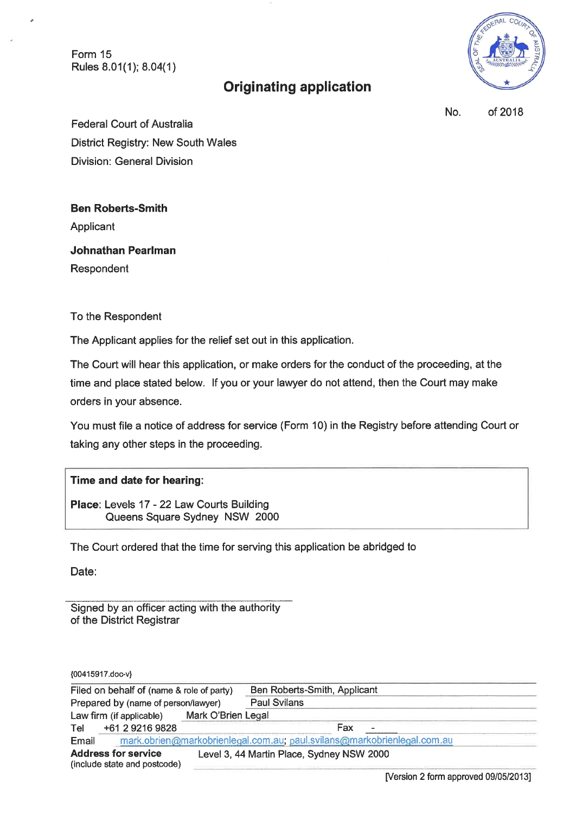Form 15 Rules 8.01(1); 8.04(1)



# **Originating application**

No. of 2018

**Federal Court of Australia** District Registry: New South Wales **Division: General Division** 

**Ben Roberts-Smith** 

Applicant

**Johnathan Pearlman** Respondent

To the Respondent

The Applicant applies for the relief set out in this application.

The Court will hear this application, or make orders for the conduct of the proceeding, at the time and place stated below. If you or your lawyer do not attend, then the Court may make orders in your absence.

You must file a notice of address for service (Form 10) in the Registry before attending Court or taking any other steps in the proceeding.

# Time and date for hearing:

Place: Levels 17 - 22 Law Courts Building Queens Square Sydney NSW 2000

The Court ordered that the time for serving this application be abridged to

Date:

Signed by an officer acting with the authority of the District Registrar

{00415917.doc-v}

| Filed on behalf of (name & role of party)<br>Prepared by (name of person/lawyer) |                                                            |                                                                         | Ben Roberts-Smith, Applicant              |  |
|----------------------------------------------------------------------------------|------------------------------------------------------------|-------------------------------------------------------------------------|-------------------------------------------|--|
|                                                                                  |                                                            |                                                                         | <b>Paul Svilans</b>                       |  |
|                                                                                  | Law firm (if applicable)                                   | Mark O'Brien Legal                                                      |                                           |  |
| Tel                                                                              | +61 2 9216 9828                                            |                                                                         | Fax<br>$\overline{\phantom{0}}$           |  |
| Email                                                                            |                                                            | mark.obrien@markobrienlegal.com.au; paul.svilans@markobrienlegal.com.au |                                           |  |
|                                                                                  | <b>Address for service</b><br>(include state and postcode) |                                                                         | Level 3, 44 Martin Place, Sydney NSW 2000 |  |